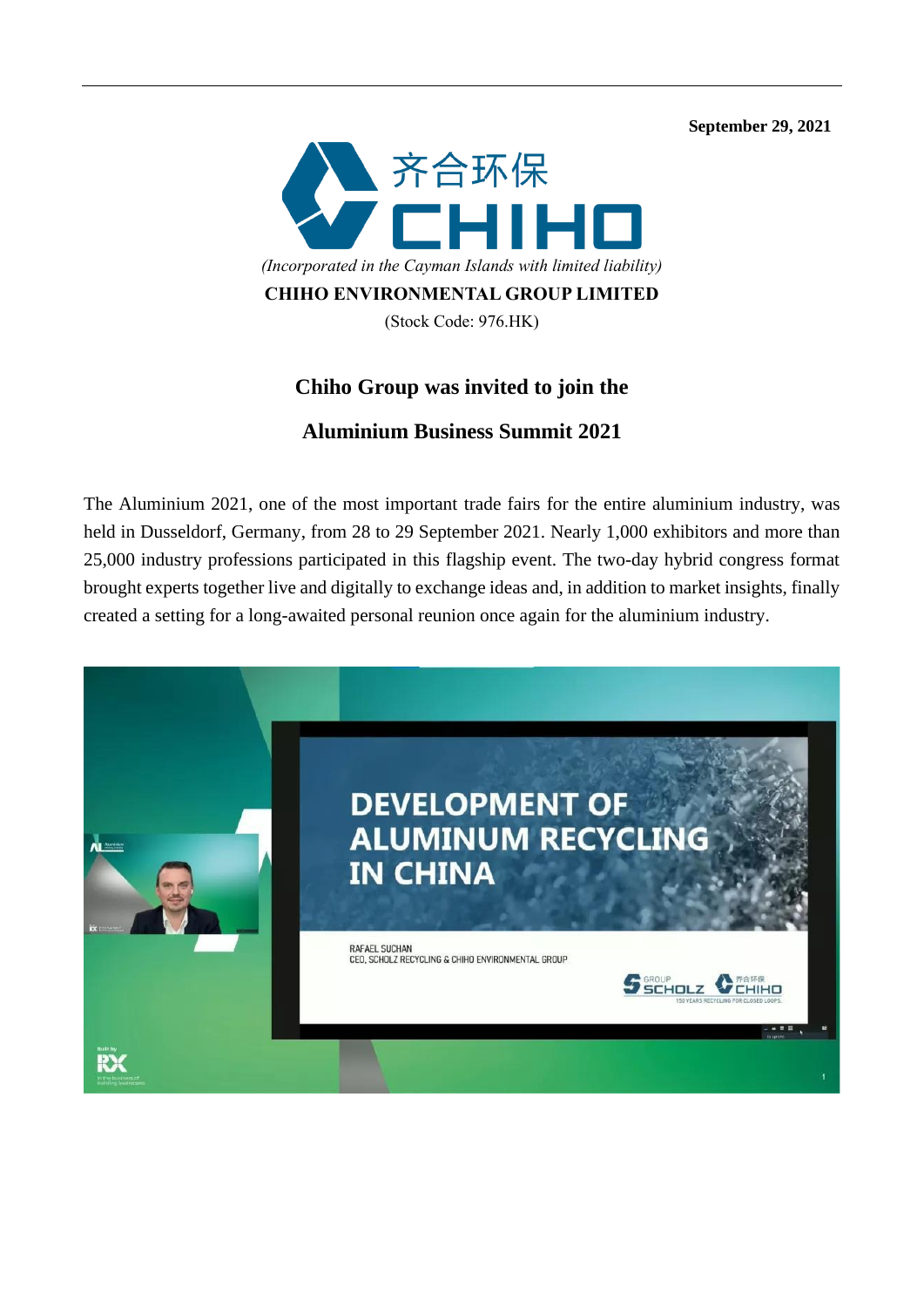**September 29, 2021** 



## **Chiho Group was invited to join the**

## **Aluminium Business Summit 2021**

The Aluminium 2021, one of the most important trade fairs for the entire aluminium industry, was held in Dusseldorf, Germany, from 28 to 29 September 2021. Nearly 1,000 exhibitors and more than 25,000 industry professions participated in this flagship event. The two-day hybrid congress format brought experts together live and digitally to exchange ideas and, in addition to market insights, finally created a setting for a long-awaited personal reunion once again for the aluminium industry.